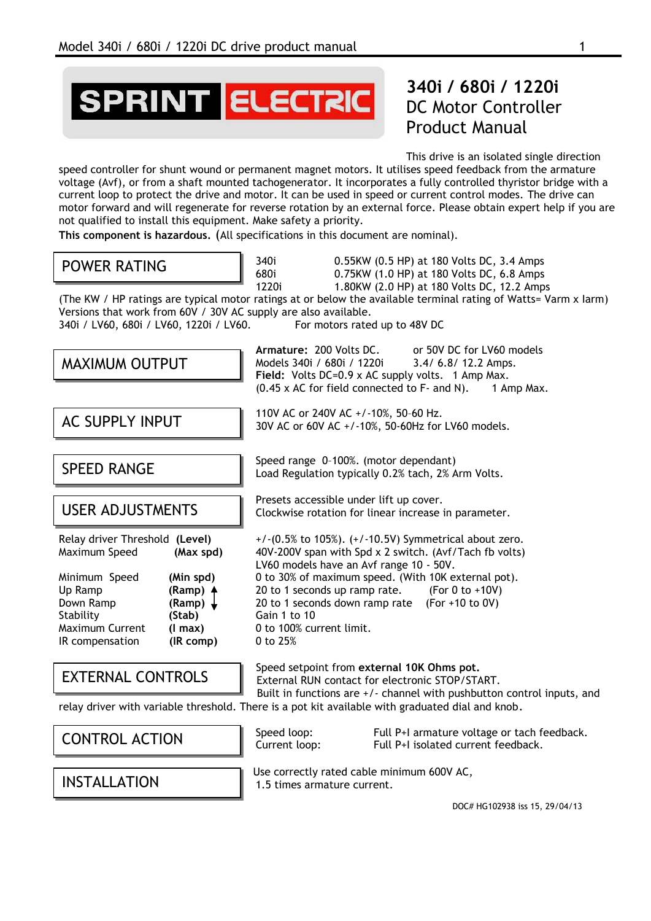**SPRINT ELECTRIC** 

# **340i / 680i / 1220i** DC Motor Controller Product Manual

This drive is an isolated single direction

speed controller for shunt wound or permanent magnet motors. It utilises speed feedback from the armature voltage (Avf), or from a shaft mounted tachogenerator. It incorporates a fully controlled thyristor bridge with a current loop to protect the drive and motor. It can be used in speed or current control modes. The drive can motor forward and will regenerate for reverse rotation by an external force. Please obtain expert help if you are not qualified to install this equipment. Make safety a priority.

**This component is hazardous.** (All specifications in this document are nominal).

## POWER RATING

|    | 0.5    |
|----|--------|
|    | 0.7    |
| ٦ż | ິ<br>◢ |

340i 0.55KW (0.5 HP) at 180 Volts DC, 3.4 Amps 680i 0.75KW (1.0 HP) at 180 Volts DC, 6.8 Amps 1220i 1.80KW (2.0 HP) at 180 Volts DC, 12.2 Amps

(The KW / HP ratings are typical motor ratings at or below the available terminal rating of Watts= Varm x Iarm) Versions that work from 60V / 30V AC supply are also available. 340i / LV60, 680i / LV60, 1220i / LV60. For motors rated up to 48V DC

| MAXIMUM OUTPUT                                                                                                                                     |                                                                                                       | Armature: 200 Volts DC.<br>or 50V DC for LV60 models<br>Models 340i / 680i / 1220i<br>3.4/ 6.8/ 12.2 Amps.<br>Field: Volts DC=0.9 x AC supply volts. 1 Amp Max.                                                                                                                                                                                                                            |  |
|----------------------------------------------------------------------------------------------------------------------------------------------------|-------------------------------------------------------------------------------------------------------|--------------------------------------------------------------------------------------------------------------------------------------------------------------------------------------------------------------------------------------------------------------------------------------------------------------------------------------------------------------------------------------------|--|
|                                                                                                                                                    |                                                                                                       | $(0.45 \times AC$ for field connected to $F$ - and N).<br>1 Amp Max.                                                                                                                                                                                                                                                                                                                       |  |
| AC SUPPLY INPUT                                                                                                                                    |                                                                                                       | 110V AC or 240V AC +/-10%, 50-60 Hz.<br>30V AC or 60V AC +/-10%, 50-60Hz for LV60 models.                                                                                                                                                                                                                                                                                                  |  |
| <b>SPEED RANGE</b>                                                                                                                                 |                                                                                                       | Speed range 0-100%. (motor dependant)<br>Load Regulation typically 0.2% tach, 2% Arm Volts.                                                                                                                                                                                                                                                                                                |  |
| <b>USER ADJUSTMENTS</b>                                                                                                                            |                                                                                                       | Presets accessible under lift up cover.<br>Clockwise rotation for linear increase in parameter.                                                                                                                                                                                                                                                                                            |  |
| Relay driver Threshold (Level)<br>Maximum Speed<br>Minimum Speed<br>Up Ramp<br>Down Ramp<br>Stability<br><b>Maximum Current</b><br>IR compensation | (Max spd)<br>(Min spd)<br>(Ramp) 4<br>(Ramp) $\downarrow$<br>(Stab)<br>$(1 \text{ max})$<br>(IR comp) | $+$ / $-$ (0.5% to 105%). $(+$ / $-10.5V$ ) Symmetrical about zero.<br>40V-200V span with Spd x 2 switch. (Avf/Tach fb volts)<br>LV60 models have an Avf range 10 - 50V.<br>0 to 30% of maximum speed. (With 10K external pot).<br>20 to 1 seconds up ramp rate. (For 0 to +10V)<br>20 to 1 seconds down ramp rate (For +10 to 0V)<br>Gain 1 to 10<br>0 to 100% current limit.<br>0 to 25% |  |
| <b>EXTERNAL CONTROLS</b>                                                                                                                           |                                                                                                       | Speed setpoint from external 10K Ohms pot.<br>External RUN contact for electronic STOP/START.<br>Built in functions are +/- channel with pushbutton control inputs, and                                                                                                                                                                                                                    |  |
|                                                                                                                                                    |                                                                                                       | relay driver with variable threshold. There is a pot kit available with graduated dial and knob.                                                                                                                                                                                                                                                                                           |  |

## CONTROL ACTION

INSTALLATION

Speed loop: Full P+I armature voltage or tach feedback. Current loop: Full P+I isolated current feedback.

Use correctly rated cable minimum 600V AC, 1.5 times armature current.

DOC# HG102938 iss 15, 29/04/13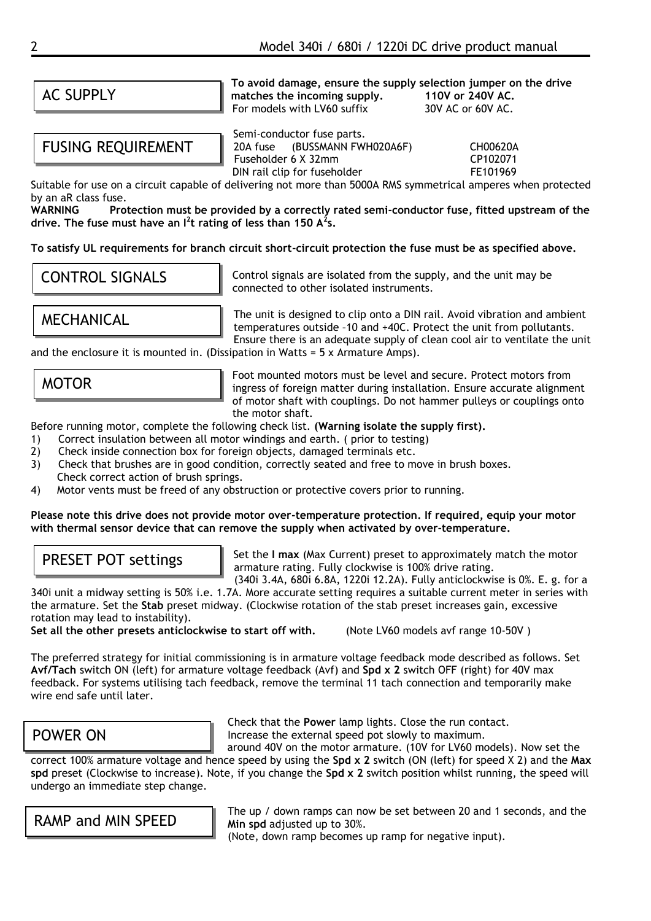## AC SUPPLY

FUSING REQUIREMENT

**To avoid damage, ensure the supply selection jumper on the drive matches the incoming supply.** 110V or 240V AC.<br>For models with I V60 suffix 30V AC or 60V AC. For models with LV60 suffix

Semi-conductor fuse parts. 20A fuse (BUSSMANN FWH020A6F) CH00620A Fuseholder 6 X 32mm CP102071 DIN rail clip for fuseholder FE101969

Suitable for use on a circuit capable of delivering not more than 5000A RMS symmetrical amperes when protected by an aR class fuse.<br>WARNING Prot

Protection must be provided by a correctly rated semi-conductor fuse, fitted upstream of the **drive. The fuse must have an I<sup>2</sup> t rating of less than 150 A<sup>2</sup> s.**

**To satisfy UL requirements for branch circuit short-circuit protection the fuse must be as specified above.**

## CONTROL SIGNALS

Control signals are isolated from the supply, and the unit may be connected to other isolated instruments.

MECHANICAL

The unit is designed to clip onto a DIN rail. Avoid vibration and ambient temperatures outside –10 and +40C. Protect the unit from pollutants. Ensure there is an adequate supply of clean cool air to ventilate the unit

and the enclosure it is mounted in. (Dissipation in Watts =  $5 \times$  Armature Amps).

MOTOR

Foot mounted motors must be level and secure. Protect motors from ingress of foreign matter during installation. Ensure accurate alignment of motor shaft with couplings. Do not hammer pulleys or couplings onto the motor shaft.

Before running motor, complete the following check list. **(Warning isolate the supply first).**

- 1) Correct insulation between all motor windings and earth. ( prior to testing)
- 2) Check inside connection box for foreign objects, damaged terminals etc.
- 3) Check that brushes are in good condition, correctly seated and free to move in brush boxes. Check correct action of brush springs.
- 4) Motor vents must be freed of any obstruction or protective covers prior to running.

#### **Please note this drive does not provide motor over-temperature protection. If required, equip your motor with thermal sensor device that can remove the supply when activated by over-temperature.**

## PRESET POT settings

Set the **I max** (Max Current) preset to approximately match the motor armature rating. Fully clockwise is 100% drive rating. (340i 3.4A, 680i 6.8A, 1220i 12.2A). Fully anticlockwise is 0%. E. g. for a

340i unit a midway setting is 50% i.e. 1.7A. More accurate setting requires a suitable current meter in series with the armature. Set the **Stab** preset midway. (Clockwise rotation of the stab preset increases gain, excessive rotation may lead to instability).

**Set all the other presets anticlockwise to start off with.** (Note LV60 models avf range 10-50V )

The preferred strategy for initial commissioning is in armature voltage feedback mode described as follows. Set **Avf/Tach** switch ON (left) for armature voltage feedback (Avf) and **Spd x 2** switch OFF (right) for 40V max feedback. For systems utilising tach feedback, remove the terminal 11 tach connection and temporarily make wire end safe until later.

## POWER ON

Check that the **Power** lamp lights. Close the run contact. Increase the external speed pot slowly to maximum.

around 40V on the motor armature. (10V for LV60 models). Now set the correct 100% armature voltage and hence speed by using the **Spd x 2** switch (ON (left) for speed X 2) and the **Max spd** preset (Clockwise to increase). Note, if you change the **Spd x 2** switch position whilst running, the speed will undergo an immediate step change.

RAMP and MIN SPEED

The up / down ramps can now be set between 20 and 1 seconds, and the **Min spd** adjusted up to 30%.

(Note, down ramp becomes up ramp for negative input).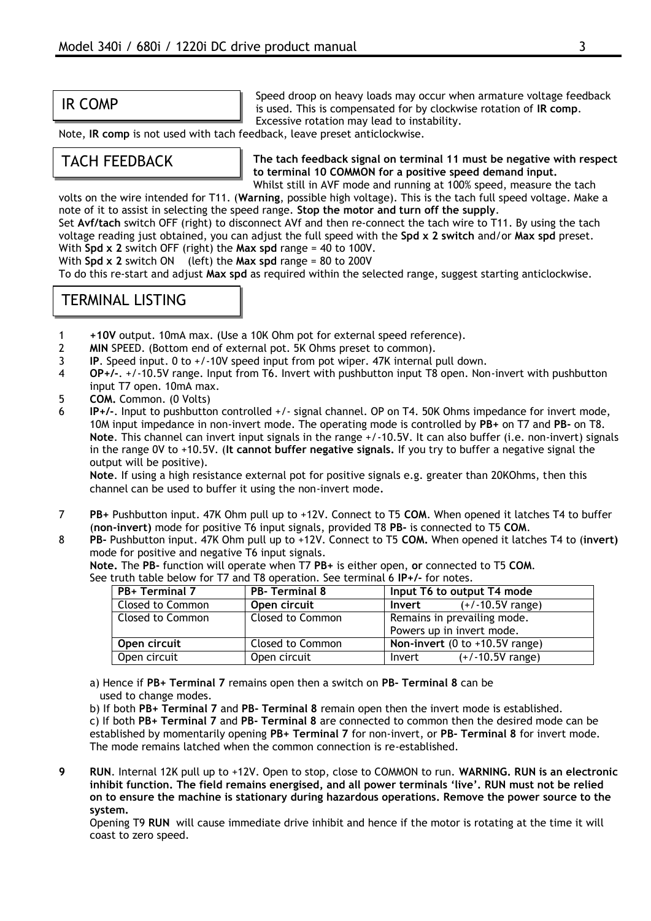#### IR COMP

Speed droop on heavy loads may occur when armature voltage feedback is used. This is compensated for by clockwise rotation of **IR comp**. Excessive rotation may lead to instability.

Note, **IR comp** is not used with tach feedback, leave preset anticlockwise.

#### TACH FEEDBACK

**The tach feedback signal on terminal 11 must be negative with respect to terminal 10 COMMON for a positive speed demand input.**

Whilst still in AVF mode and running at 100% speed, measure the tach volts on the wire intended for T11. (**Warning**, possible high voltage). This is the tach full speed voltage. Make a note of it to assist in selecting the speed range. **Stop the motor and turn off the supply**.

Set **Avf/tach** switch OFF (right) to disconnect AVf and then re-connect the tach wire to T11. By using the tach voltage reading just obtained, you can adjust the full speed with the **Spd x 2 switch** and/or **Max spd** preset. With **Spd x 2** switch OFF (right) the **Max spd** range = 40 to 100V.

With **Spd x 2** switch ON (left) the **Max spd** range = 80 to 200V

To do this re-start and adjust **Max spd** as required within the selected range, suggest starting anticlockwise.

#### TERMINAL LISTING

- 1 **+10V** output. 10mA max. (Use a 10K Ohm pot for external speed reference).
- 2 **MIN** SPEED. (Bottom end of external pot. 5K Ohms preset to common).
- 3 **IP**. Speed input. 0 to +/-10V speed input from pot wiper. 47K internal pull down.
- 4 **OP+/-**. +/-10.5V range. Input from T6. Invert with pushbutton input T8 open. Non-invert with pushbutton input T7 open. 10mA max.
- 5 **COM.** Common. (0 Volts)
- 6 **IP+/-**. Input to pushbutton controlled +/- signal channel. OP on T4. 50K Ohms impedance for invert mode, 10M input impedance in non-invert mode. The operating mode is controlled by **PB+** on T7 and **PB-** on T8. **Note**. This channel can invert input signals in the range +/-10.5V. It can also buffer (i.e. non-invert) signals in the range 0V to +10.5V. (**It cannot buffer negative signals.** If you try to buffer a negative signal the output will be positive).

**Note**. If using a high resistance external pot for positive signals e.g. greater than 20KOhms, then this channel can be used to buffer it using the non-invert mode.

- 7 **PB+** Pushbutton input. 47K Ohm pull up to +12V. Connect to T5 **COM**. When opened it latches T4 to buffer (**non-invert)** mode for positive T6 input signals, provided T8 **PB-** is connected to T5 **COM**.
- 8 **PB-** Pushbutton input. 47K Ohm pull up to +12V. Connect to T5 **COM.** When opened it latches T4 to (**invert)**  mode for positive and negative T6 input signals.

**Note.** The **PB-** function will operate when T7 **PB+** is either open, **or** connected to T5 **COM**. See truth table below for T7 and T8 operation. See terminal 6 **IP+/-** for notes.

| PB+ Terminal 7   | <b>PB-Terminal 8</b> | Input T6 to output T4 mode                        |
|------------------|----------------------|---------------------------------------------------|
| Closed to Common | Open circuit         | $(+/-10.5V$ range)<br>Invert                      |
| Closed to Common | Closed to Common     | Remains in prevailing mode.                       |
|                  |                      | Powers up in invert mode.                         |
| Open circuit     | Closed to Common     | Non-invert $(0 \text{ to } +10.5V \text{ range})$ |
| Open circuit     | Open circuit         | $(+/-10.5V$ range)<br>Invert                      |

a) Hence if **PB+ Terminal 7** remains open then a switch on **PB- Terminal 8** can be used to change modes.

b) If both **PB+ Terminal 7** and **PB- Terminal 8** remain open then the invert mode is established.

c) If both **PB+ Terminal 7** and **PB- Terminal 8** are connected to common then the desired mode can be established by momentarily opening **PB+ Terminal 7** for non-invert, or **PB- Terminal 8** for invert mode. The mode remains latched when the common connection is re-established.

**9 RUN**. Internal 12K pull up to +12V. Open to stop, close to COMMON to run. **WARNING. RUN is an electronic inhibit function. The field remains energised, and all power terminals 'live'. RUN must not be relied on to ensure the machine is stationary during hazardous operations. Remove the power source to the system.**

Opening T9 **RUN** will cause immediate drive inhibit and hence if the motor is rotating at the time it will coast to zero speed.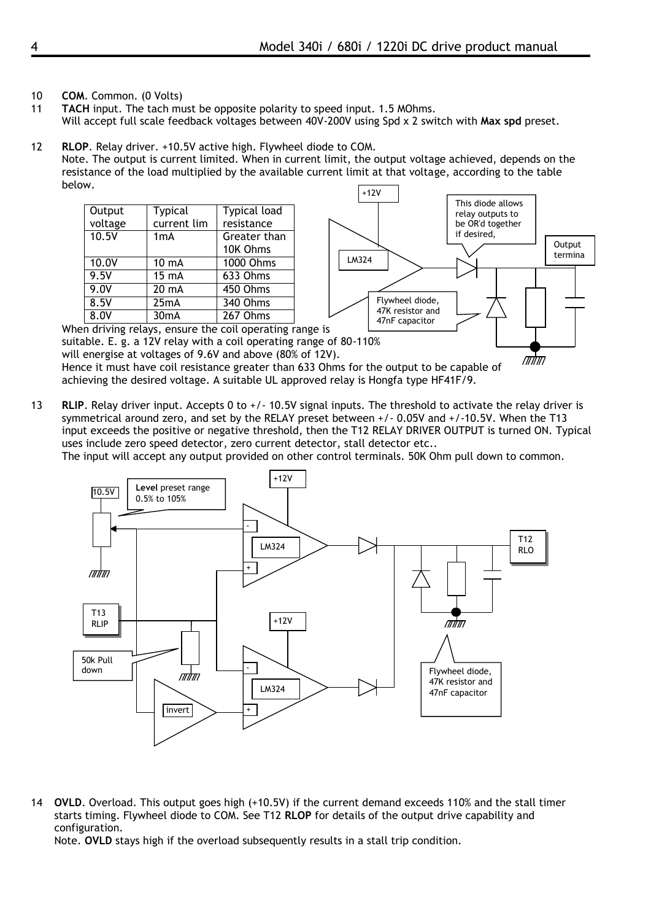- 10 **COM**. Common. (0 Volts)
- 11 **TACH** input. The tach must be opposite polarity to speed input. 1.5 MOhms. Will accept full scale feedback voltages between 40V-200V using Spd x 2 switch with **Max spd** preset.
- +12V 12 **RLOP**. Relay driver. +10.5V active high. Flywheel diode to COM. Note. The output is current limited. When in current limit, the output voltage achieved, depends on the resistance of the load multiplied by the available current limit at that voltage, according to the table below.

| Output  | Typical           | Typical load                                            |  |
|---------|-------------------|---------------------------------------------------------|--|
| voltage | current lim       | resistance                                              |  |
| 10.5V   | 1 <sub>m</sub> A  | Greater than                                            |  |
|         |                   | 10K Ohms                                                |  |
| 10.0V   | $10 \text{ mA}$   | $\overline{1000}$ Ohms                                  |  |
| 9.5V    | $15 \text{ mA}$   | $\overline{63}$ 3 Ohms                                  |  |
| 9.0V    | 20 mA             | 450 Ohms                                                |  |
| 8.5V    | 25mA              | 340 Ohms                                                |  |
| 8.0V    | 30 <sub>m</sub> A | $267$ Ohms                                              |  |
|         |                   | When driving relays, ensure the coil operating range is |  |



will energise at voltages of 9.6V and above (80% of 12V). Hence it must have coil resistance greater than 633 Ohms for the output to be capable of achieving the desired voltage. A suitable UL approved relay is Hongfa type HF41F/9.

13 **RLIP**. Relay driver input. Accepts 0 to +/- 10.5V signal inputs. The threshold to activate the relay driver is symmetrical around zero, and set by the RELAY preset between +/- 0.05V and +/-10.5V. When the T13 input exceeds the positive or negative threshold, then the T12 RELAY DRIVER OUTPUT is turned ON. Typical uses include zero speed detector, zero current detector, stall detector etc..

The input will accept any output provided on other control terminals. 50K Ohm pull down to common.



14 **OVLD**. Overload. This output goes high (+10.5V) if the current demand exceeds 110% and the stall timer starts timing. Flywheel diode to COM. See T12 **RLOP** for details of the output drive capability and configuration.

Note. **OVLD** stays high if the overload subsequently results in a stall trip condition.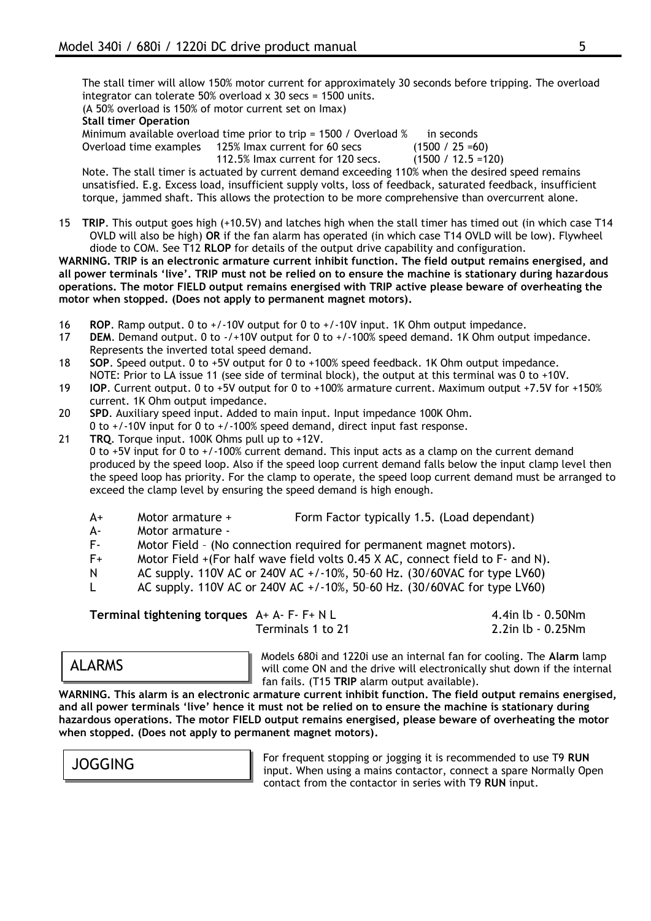The stall timer will allow 150% motor current for approximately 30 seconds before tripping. The overload integrator can tolerate 50% overload x 30 secs =  $1500$  units.

(A 50% overload is 150% of motor current set on Imax)

#### **Stall timer Operation**

Minimum available overload time prior to trip = 1500 / Overload % in seconds Overload time examples 125% Imax current for 60 secs (1500 / 25 =60) 112.5% Imax current for 120 secs. (1500 / 12.5 =120)

Note. The stall timer is actuated by current demand exceeding 110% when the desired speed remains unsatisfied. E.g. Excess load, insufficient supply volts, loss of feedback, saturated feedback, insufficient torque, jammed shaft. This allows the protection to be more comprehensive than overcurrent alone.

15 **TRIP**. This output goes high (+10.5V) and latches high when the stall timer has timed out (in which case T14 OVLD will also be high) **OR** if the fan alarm has operated (in which case T14 OVLD will be low). Flywheel diode to COM. See T12 **RLOP** for details of the output drive capability and configuration.

**WARNING. TRIP is an electronic armature current inhibit function. The field output remains energised, and all power terminals 'live'. TRIP must not be relied on to ensure the machine is stationary during hazardous operations. The motor FIELD output remains energised with TRIP active please beware of overheating the motor when stopped. (Does not apply to permanent magnet motors).**

- 16 **ROP**. Ramp output. 0 to +/-10V output for 0 to +/-10V input. 1K Ohm output impedance.
- 17 **DEM**. Demand output. 0 to -/+10V output for 0 to +/-100% speed demand. 1K Ohm output impedance. Represents the inverted total speed demand.
- 18 **SOP**. Speed output. 0 to +5V output for 0 to +100% speed feedback. 1K Ohm output impedance. NOTE: Prior to LA issue 11 (see side of terminal block), the output at this terminal was 0 to +10V.
- 19 **IOP**. Current output. 0 to +5V output for 0 to +100% armature current. Maximum output +7.5V for +150% current. 1K Ohm output impedance.
- 20 **SPD**. Auxiliary speed input. Added to main input. Input impedance 100K Ohm. 0 to +/-10V input for 0 to +/-100% speed demand, direct input fast response.
- 21 **TRQ**. Torque input. 100K Ohms pull up to +12V.

0 to +5V input for 0 to +/-100% current demand. This input acts as a clamp on the current demand produced by the speed loop. Also if the speed loop current demand falls below the input clamp level then the speed loop has priority. For the clamp to operate, the speed loop current demand must be arranged to exceed the clamp level by ensuring the speed demand is high enough.

- A+ Motor armature + Form Factor typically 1.5. (Load dependant)
- A- Motor armature -
- F- Motor Field (No connection required for permanent magnet motors).
- F+ Motor Field +(For half wave field volts 0.45 X AC, connect field to F- and N).
- N AC supply. 110V AC or 240V AC +/-10%, 50–60 Hz. (30/60VAC for type LV60)
- L AC supply. 110V AC or 240V AC  $+/-10\%$ , 50-60 Hz. (30/60VAC for type LV60)

**Terminal tightening torques** A+ A- F- F+ N L 4.4in lb - 0.50Nm Terminals 1 to 21 2.2in lb - 0.25Nm

#### ALARMS

Models 680i and 1220i use an internal fan for cooling. The **Alarm** lamp will come ON and the drive will electronically shut down if the internal fan fails. (T15 **TRIP** alarm output available).

**WARNING. This alarm is an electronic armature current inhibit function. The field output remains energised, and all power terminals 'live' hence it must not be relied on to ensure the machine is stationary during hazardous operations. The motor FIELD output remains energised, please beware of overheating the motor when stopped. (Does not apply to permanent magnet motors).**

JOGGING

For frequent stopping or jogging it is recommended to use T9 **RUN** input. When using a mains contactor, connect a spare Normally Open contact from the contactor in series with T9 **RUN** input.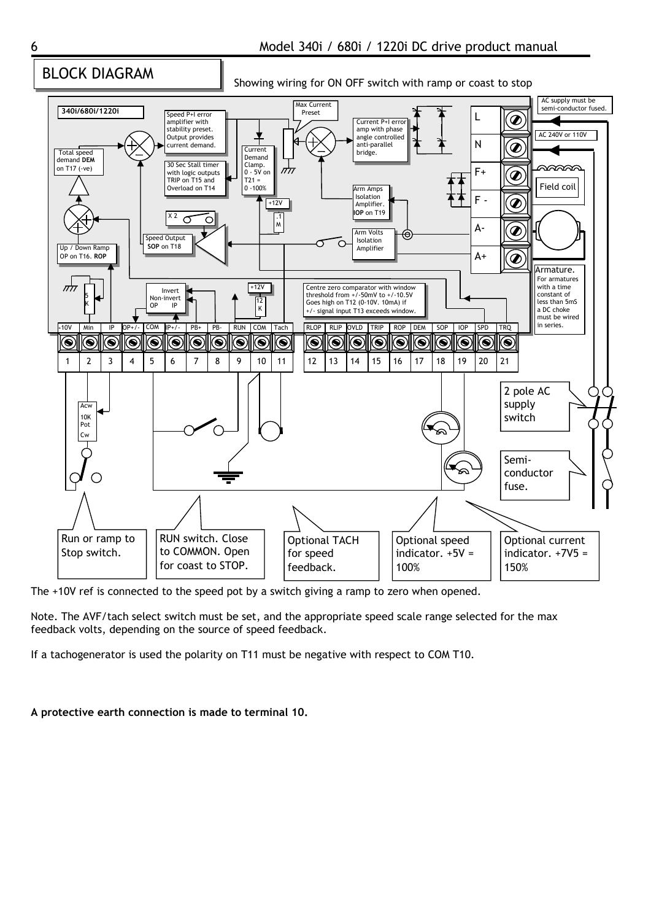#### BLOCK DIAGRAM

Showing wiring for ON OFF switch with ramp or coast to stop



The +10V ref is connected to the speed pot by a switch giving a ramp to zero when opened.

Note. The AVF/tach select switch must be set, and the appropriate speed scale range selected for the max feedback volts, depending on the source of speed feedback.

If a tachogenerator is used the polarity on T11 must be negative with respect to COM T10.

**A protective earth connection is made to terminal 10.**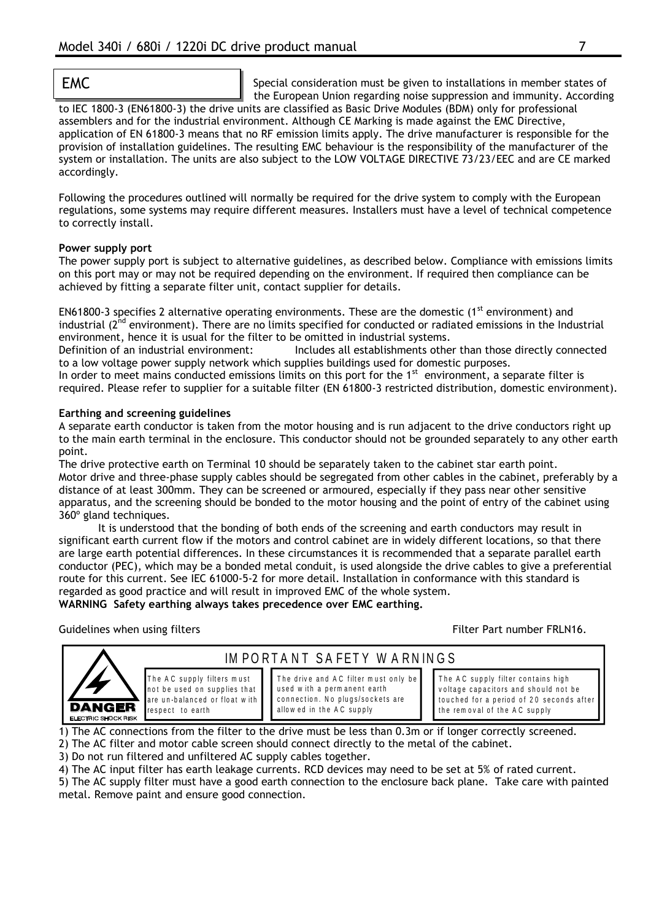EMC Special consideration must be given to installations in member states of the European Union regarding noise suppression and immunity. According

to IEC 1800-3 (EN61800-3) the drive units are classified as Basic Drive Modules (BDM) only for professional assemblers and for the industrial environment. Although CE Marking is made against the EMC Directive, application of EN 61800-3 means that no RF emission limits apply. The drive manufacturer is responsible for the provision of installation guidelines. The resulting EMC behaviour is the responsibility of the manufacturer of the system or installation. The units are also subject to the LOW VOLTAGE DIRECTIVE 73/23/EEC and are CE marked accordingly.

Following the procedures outlined will normally be required for the drive system to comply with the European regulations, some systems may require different measures. Installers must have a level of technical competence to correctly install.

#### **Power supply port**

The power supply port is subject to alternative guidelines, as described below. Compliance with emissions limits on this port may or may not be required depending on the environment. If required then compliance can be achieved by fitting a separate filter unit, contact supplier for details.

EN61800-3 specifies 2 alternative operating environments. These are the domestic (1<sup>st</sup> environment) and industrial ( $2^{nd}$  environment). There are no limits specified for conducted or radiated emissions in the Industrial environment, hence it is usual for the filter to be omitted in industrial systems.

Definition of an industrial environment: Includes all establishments other than those directly connected to a low voltage power supply network which supplies buildings used for domestic purposes.

In order to meet mains conducted emissions limits on this port for the  $1<sup>st</sup>$  environment, a separate filter is required. Please refer to supplier for a suitable filter (EN 61800-3 restricted distribution, domestic environment).

#### **Earthing and screening guidelines**

A separate earth conductor is taken from the motor housing and is run adjacent to the drive conductors right up to the main earth terminal in the enclosure. This conductor should not be grounded separately to any other earth point.

The drive protective earth on Terminal 10 should be separately taken to the cabinet star earth point. Motor drive and three-phase supply cables should be segregated from other cables in the cabinet, preferably by a distance of at least 300mm. They can be screened or armoured, especially if they pass near other sensitive apparatus, and the screening should be bonded to the motor housing and the point of entry of the cabinet using 360º gland techniques.

It is understood that the bonding of both ends of the screening and earth conductors may result in significant earth current flow if the motors and control cabinet are in widely different locations, so that there are large earth potential differences. In these circumstances it is recommended that a separate parallel earth conductor (PEC), which may be a bonded metal conduit, is used alongside the drive cables to give a preferential route for this current. See IEC 61000-5-2 for more detail. Installation in conformance with this standard is regarded as good practice and will result in improved EMC of the whole system. **WARNING Safety earthing always takes precedence over EMC earthing.**

Guidelines when using filters Filter Filter Part number FRLN16.



The AC supply filters must not be used on supplies that are un-balanced or float with respect to earth

The drive and AC filter must only be used with a permanent earth connection. No plugs/sockets are allow ed in the AC supply

IM PORTANT SAFETY WARNINGS

The AC supply filter contains high voltage capacitors and should not be touched for a period of 20 seconds after the rem oval of the AC supply

1) The AC connections from the filter to the drive must be less than 0.3m or if longer correctly screened. 2) The AC filter and motor cable screen should connect directly to the metal of the cabinet.

3) Do not run filtered and unfiltered AC supply cables together.

4) The AC input filter has earth leakage currents. RCD devices may need to be set at 5% of rated current.

5) The AC supply filter must have a good earth connection to the enclosure back plane. Take care with painted metal. Remove paint and ensure good connection.